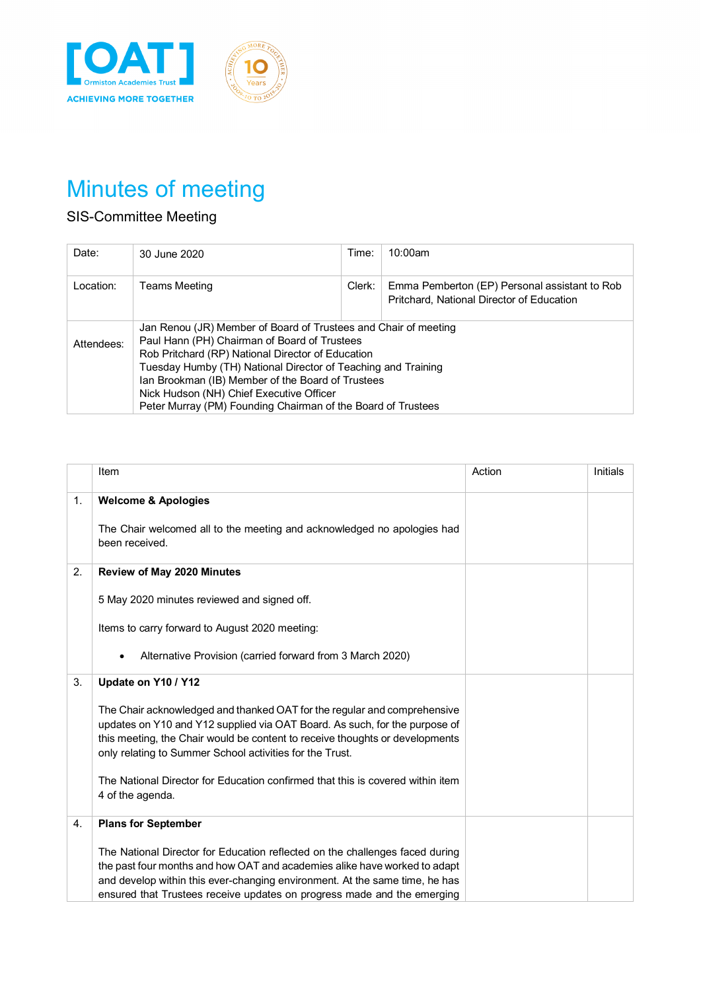



# Minutes of meeting

# SIS-Committee Meeting

| Date:      | 30 June 2020                                                                                                                                                                                                                                                                                                                                                                                           | Time:  | 10:00am                                                                                    |  |  |
|------------|--------------------------------------------------------------------------------------------------------------------------------------------------------------------------------------------------------------------------------------------------------------------------------------------------------------------------------------------------------------------------------------------------------|--------|--------------------------------------------------------------------------------------------|--|--|
| Location:  | Teams Meeting                                                                                                                                                                                                                                                                                                                                                                                          | Clerk: | Emma Pemberton (EP) Personal assistant to Rob<br>Pritchard, National Director of Education |  |  |
| Attendees: | Jan Renou (JR) Member of Board of Trustees and Chair of meeting<br>Paul Hann (PH) Chairman of Board of Trustees<br>Rob Pritchard (RP) National Director of Education<br>Tuesday Humby (TH) National Director of Teaching and Training<br>Ian Brookman (IB) Member of the Board of Trustees<br>Nick Hudson (NH) Chief Executive Officer<br>Peter Murray (PM) Founding Chairman of the Board of Trustees |        |                                                                                            |  |  |

|    | Item                                                                                                                                                                                                                                                                                                                | Action | Initials |
|----|---------------------------------------------------------------------------------------------------------------------------------------------------------------------------------------------------------------------------------------------------------------------------------------------------------------------|--------|----------|
| 1. | <b>Welcome &amp; Apologies</b>                                                                                                                                                                                                                                                                                      |        |          |
|    | The Chair welcomed all to the meeting and acknowledged no apologies had<br>been received.                                                                                                                                                                                                                           |        |          |
| 2. | Review of May 2020 Minutes                                                                                                                                                                                                                                                                                          |        |          |
|    | 5 May 2020 minutes reviewed and signed off.                                                                                                                                                                                                                                                                         |        |          |
|    | Items to carry forward to August 2020 meeting:                                                                                                                                                                                                                                                                      |        |          |
|    | Alternative Provision (carried forward from 3 March 2020)                                                                                                                                                                                                                                                           |        |          |
| 3. | Update on Y10 / Y12                                                                                                                                                                                                                                                                                                 |        |          |
|    | The Chair acknowledged and thanked OAT for the regular and comprehensive<br>updates on Y10 and Y12 supplied via OAT Board. As such, for the purpose of<br>this meeting, the Chair would be content to receive thoughts or developments<br>only relating to Summer School activities for the Trust.                  |        |          |
|    | The National Director for Education confirmed that this is covered within item<br>4 of the agenda.                                                                                                                                                                                                                  |        |          |
| 4. | <b>Plans for September</b>                                                                                                                                                                                                                                                                                          |        |          |
|    | The National Director for Education reflected on the challenges faced during<br>the past four months and how OAT and academies alike have worked to adapt<br>and develop within this ever-changing environment. At the same time, he has<br>ensured that Trustees receive updates on progress made and the emerging |        |          |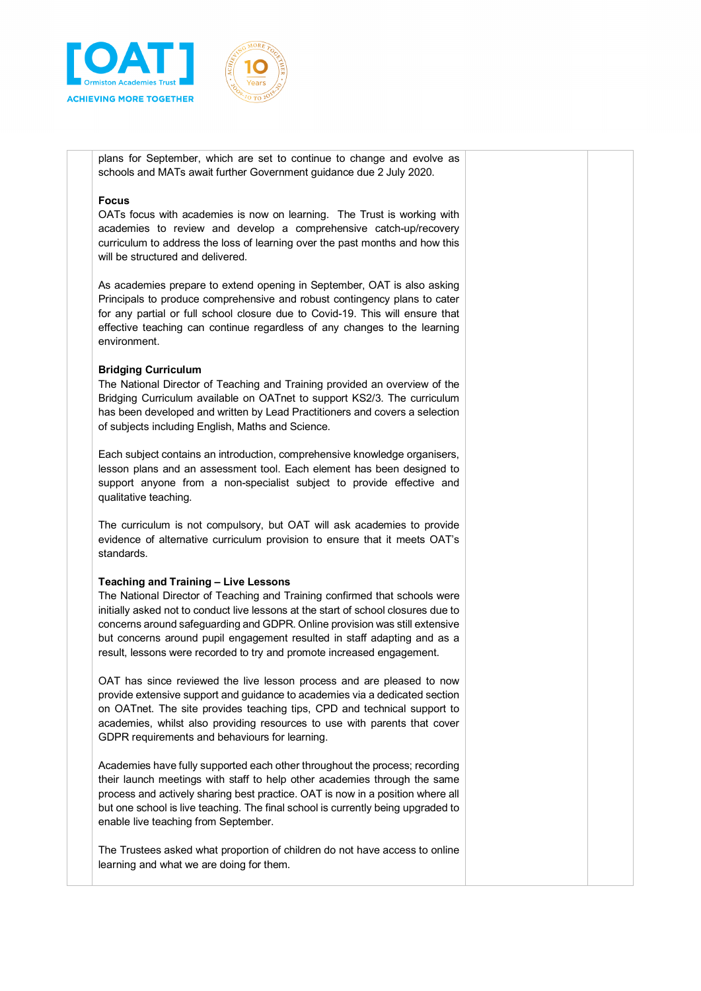

plans for September, which are set to continue to change and evolve as schools and MATs await further Government guidance due 2 July 2020.

#### **Focus**

OATs focus with academies is now on learning. The Trust is working with academies to review and develop a comprehensive catch-up/recovery curriculum to address the loss of learning over the past months and how this will be structured and delivered.

As academies prepare to extend opening in September, OAT is also asking Principals to produce comprehensive and robust contingency plans to cater for any partial or full school closure due to Covid-19. This will ensure that effective teaching can continue regardless of any changes to the learning environment.

#### **Bridging Curriculum**

The National Director of Teaching and Training provided an overview of the Bridging Curriculum available on OATnet to support KS2/3. The curriculum has been developed and written by Lead Practitioners and covers a selection of subjects including English, Maths and Science.

Each subject contains an introduction, comprehensive knowledge organisers, lesson plans and an assessment tool. Each element has been designed to support anyone from a non-specialist subject to provide effective and qualitative teaching.

The curriculum is not compulsory, but OAT will ask academies to provide evidence of alternative curriculum provision to ensure that it meets OAT's standards.

#### **Teaching and Training – Live Lessons**

The National Director of Teaching and Training confirmed that schools were initially asked not to conduct live lessons at the start of school closures due to concerns around safeguarding and GDPR. Online provision was still extensive but concerns around pupil engagement resulted in staff adapting and as a result, lessons were recorded to try and promote increased engagement.

OAT has since reviewed the live lesson process and are pleased to now provide extensive support and guidance to academies via a dedicated section on OATnet. The site provides teaching tips, CPD and technical support to academies, whilst also providing resources to use with parents that cover GDPR requirements and behaviours for learning.

Academies have fully supported each other throughout the process; recording their launch meetings with staff to help other academies through the same process and actively sharing best practice. OAT is now in a position where all but one school is live teaching. The final school is currently being upgraded to enable live teaching from September.

The Trustees asked what proportion of children do not have access to online learning and what we are doing for them.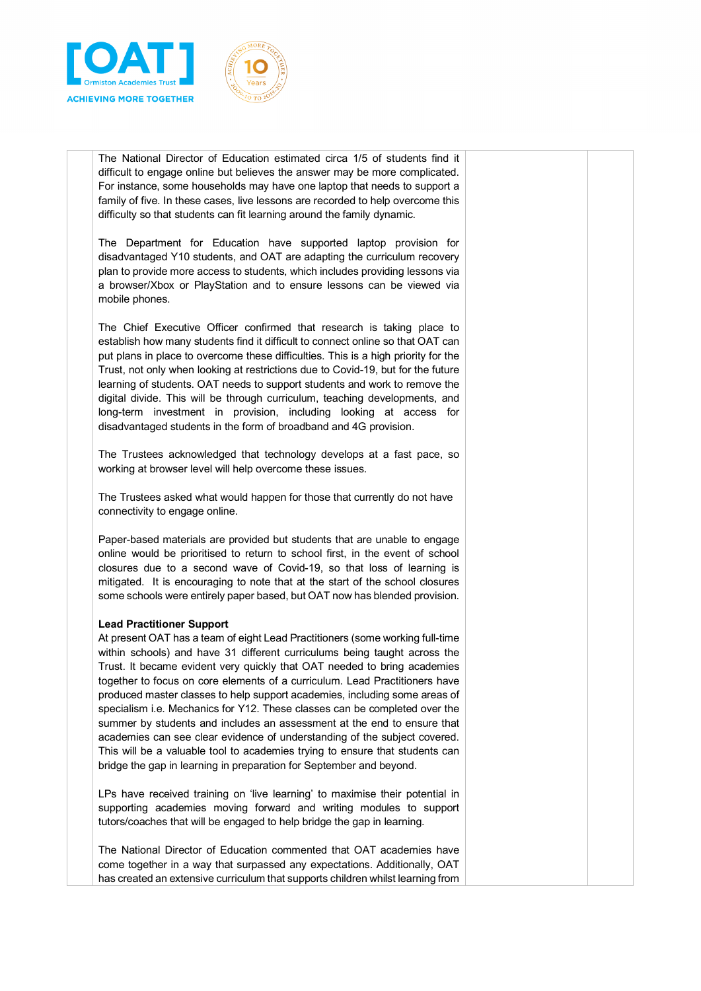

The National Director of Education estimated circa 1/5 of students find it difficult to engage online but believes the answer may be more complicated. For instance, some households may have one laptop that needs to support a family of five. In these cases, live lessons are recorded to help overcome this difficulty so that students can fit learning around the family dynamic.

The Department for Education have supported laptop provision for disadvantaged Y10 students, and OAT are adapting the curriculum recovery plan to provide more access to students, which includes providing lessons via a browser/Xbox or PlayStation and to ensure lessons can be viewed via mobile phones.

The Chief Executive Officer confirmed that research is taking place to establish how many students find it difficult to connect online so that OAT can put plans in place to overcome these difficulties. This is a high priority for the Trust, not only when looking at restrictions due to Covid-19, but for the future learning of students. OAT needs to support students and work to remove the digital divide. This will be through curriculum, teaching developments, and long-term investment in provision, including looking at access for disadvantaged students in the form of broadband and 4G provision.

The Trustees acknowledged that technology develops at a fast pace, so working at browser level will help overcome these issues.

The Trustees asked what would happen for those that currently do not have connectivity to engage online.

Paper-based materials are provided but students that are unable to engage online would be prioritised to return to school first, in the event of school closures due to a second wave of Covid-19, so that loss of learning is mitigated. It is encouraging to note that at the start of the school closures some schools were entirely paper based, but OAT now has blended provision.

#### **Lead Practitioner Support**

At present OAT has a team of eight Lead Practitioners (some working full-time within schools) and have 31 different curriculums being taught across the Trust. It became evident very quickly that OAT needed to bring academies together to focus on core elements of a curriculum. Lead Practitioners have produced master classes to help support academies, including some areas of specialism i.e. Mechanics for Y12. These classes can be completed over the summer by students and includes an assessment at the end to ensure that academies can see clear evidence of understanding of the subject covered. This will be a valuable tool to academies trying to ensure that students can bridge the gap in learning in preparation for September and beyond.

LPs have received training on 'live learning' to maximise their potential in supporting academies moving forward and writing modules to support tutors/coaches that will be engaged to help bridge the gap in learning.

The National Director of Education commented that OAT academies have come together in a way that surpassed any expectations. Additionally, OAT has created an extensive curriculum that supports children whilst learning from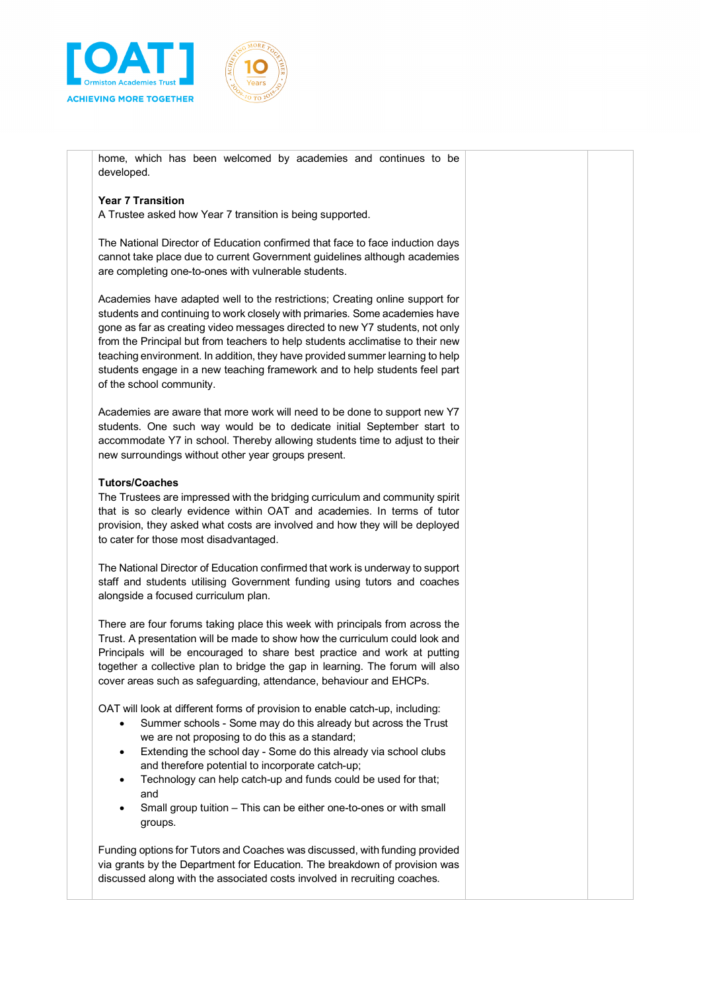



home, which has been welcomed by academies and continues to be developed.

# **Year 7 Transition**

A Trustee asked how Year 7 transition is being supported.

The National Director of Education confirmed that face to face induction days cannot take place due to current Government guidelines although academies are completing one-to-ones with vulnerable students.

Academies have adapted well to the restrictions; Creating online support for students and continuing to work closely with primaries. Some academies have gone as far as creating video messages directed to new Y7 students, not only from the Principal but from teachers to help students acclimatise to their new teaching environment. In addition, they have provided summer learning to help students engage in a new teaching framework and to help students feel part of the school community.

Academies are aware that more work will need to be done to support new Y7 students. One such way would be to dedicate initial September start to accommodate Y7 in school. Thereby allowing students time to adjust to their new surroundings without other year groups present.

# **Tutors/Coaches**

The Trustees are impressed with the bridging curriculum and community spirit that is so clearly evidence within OAT and academies. In terms of tutor provision, they asked what costs are involved and how they will be deployed to cater for those most disadvantaged.

The National Director of Education confirmed that work is underway to support staff and students utilising Government funding using tutors and coaches alongside a focused curriculum plan.

There are four forums taking place this week with principals from across the Trust. A presentation will be made to show how the curriculum could look and Principals will be encouraged to share best practice and work at putting together a collective plan to bridge the gap in learning. The forum will also cover areas such as safeguarding, attendance, behaviour and EHCPs.

OAT will look at different forms of provision to enable catch-up, including:

- Summer schools Some may do this already but across the Trust we are not proposing to do this as a standard;
- Extending the school day Some do this already via school clubs and therefore potential to incorporate catch-up;
- Technology can help catch-up and funds could be used for that; and
- Small group tuition This can be either one-to-ones or with small groups.

Funding options for Tutors and Coaches was discussed, with funding provided via grants by the Department for Education. The breakdown of provision was discussed along with the associated costs involved in recruiting coaches.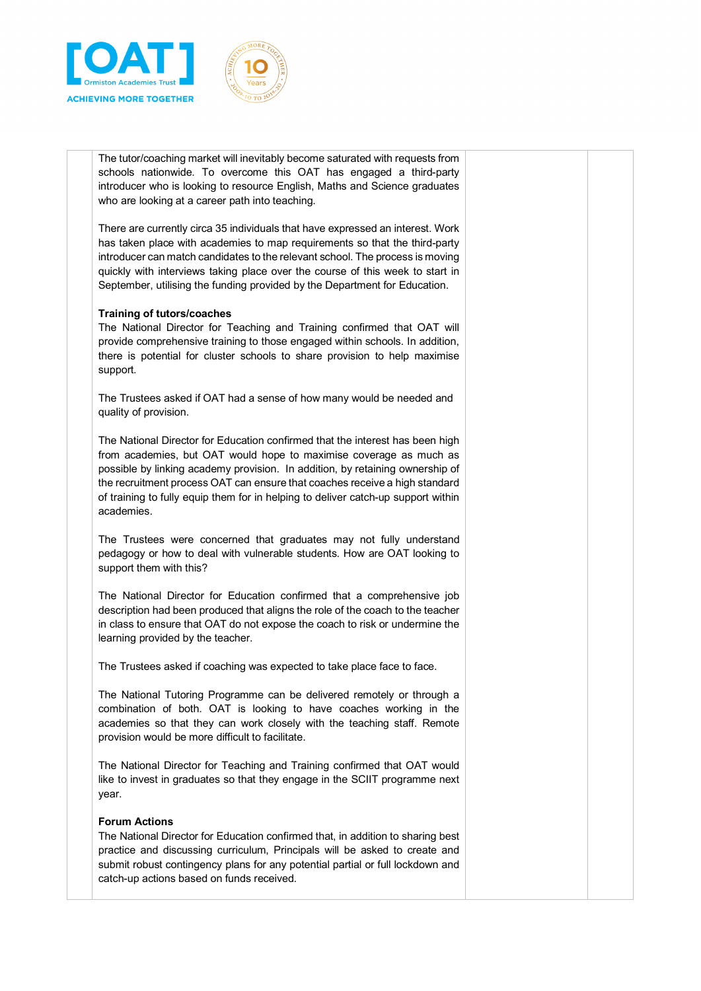

The tutor/coaching market will inevitably become saturated with requests from schools nationwide. To overcome this OAT has engaged a third-party introducer who is looking to resource English, Maths and Science graduates who are looking at a career path into teaching.

There are currently circa 35 individuals that have expressed an interest. Work has taken place with academies to map requirements so that the third-party introducer can match candidates to the relevant school. The process is moving quickly with interviews taking place over the course of this week to start in September, utilising the funding provided by the Department for Education.

## **Training of tutors/coaches**

The National Director for Teaching and Training confirmed that OAT will provide comprehensive training to those engaged within schools. In addition, there is potential for cluster schools to share provision to help maximise support.

The Trustees asked if OAT had a sense of how many would be needed and quality of provision.

The National Director for Education confirmed that the interest has been high from academies, but OAT would hope to maximise coverage as much as possible by linking academy provision. In addition, by retaining ownership of the recruitment process OAT can ensure that coaches receive a high standard of training to fully equip them for in helping to deliver catch-up support within academies.

The Trustees were concerned that graduates may not fully understand pedagogy or how to deal with vulnerable students. How are OAT looking to support them with this?

The National Director for Education confirmed that a comprehensive job description had been produced that aligns the role of the coach to the teacher in class to ensure that OAT do not expose the coach to risk or undermine the learning provided by the teacher.

The Trustees asked if coaching was expected to take place face to face.

The National Tutoring Programme can be delivered remotely or through a combination of both. OAT is looking to have coaches working in the academies so that they can work closely with the teaching staff. Remote provision would be more difficult to facilitate.

The National Director for Teaching and Training confirmed that OAT would like to invest in graduates so that they engage in the SCIIT programme next year.

#### **Forum Actions**

The National Director for Education confirmed that, in addition to sharing best practice and discussing curriculum, Principals will be asked to create and submit robust contingency plans for any potential partial or full lockdown and catch-up actions based on funds received.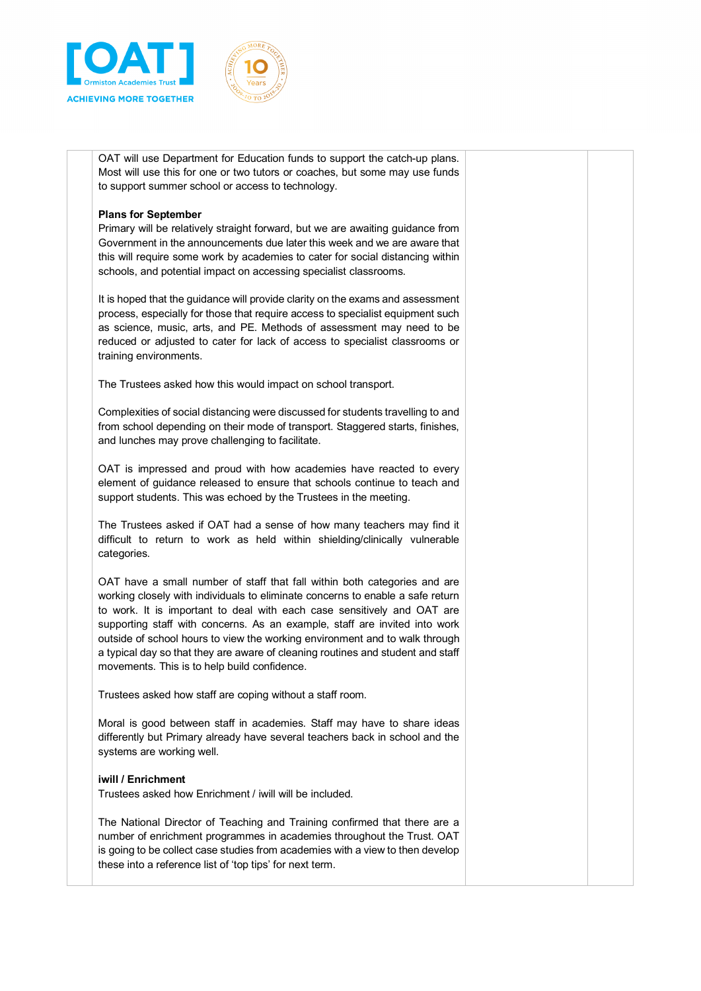



OAT will use Department for Education funds to support the catch-up plans. Most will use this for one or two tutors or coaches, but some may use funds to support summer school or access to technology.

## **Plans for September**

Primary will be relatively straight forward, but we are awaiting guidance from Government in the announcements due later this week and we are aware that this will require some work by academies to cater for social distancing within schools, and potential impact on accessing specialist classrooms.

It is hoped that the guidance will provide clarity on the exams and assessment process, especially for those that require access to specialist equipment such as science, music, arts, and PE. Methods of assessment may need to be reduced or adjusted to cater for lack of access to specialist classrooms or training environments.

The Trustees asked how this would impact on school transport.

Complexities of social distancing were discussed for students travelling to and from school depending on their mode of transport. Staggered starts, finishes, and lunches may prove challenging to facilitate.

OAT is impressed and proud with how academies have reacted to every element of guidance released to ensure that schools continue to teach and support students. This was echoed by the Trustees in the meeting.

The Trustees asked if OAT had a sense of how many teachers may find it difficult to return to work as held within shielding/clinically vulnerable categories.

OAT have a small number of staff that fall within both categories and are working closely with individuals to eliminate concerns to enable a safe return to work. It is important to deal with each case sensitively and OAT are supporting staff with concerns. As an example, staff are invited into work outside of school hours to view the working environment and to walk through a typical day so that they are aware of cleaning routines and student and staff movements. This is to help build confidence.

Trustees asked how staff are coping without a staff room.

Moral is good between staff in academies. Staff may have to share ideas differently but Primary already have several teachers back in school and the systems are working well.

# **iwill / Enrichment**

Trustees asked how Enrichment / iwill will be included.

The National Director of Teaching and Training confirmed that there are a number of enrichment programmes in academies throughout the Trust. OAT is going to be collect case studies from academies with a view to then develop these into a reference list of 'top tips' for next term.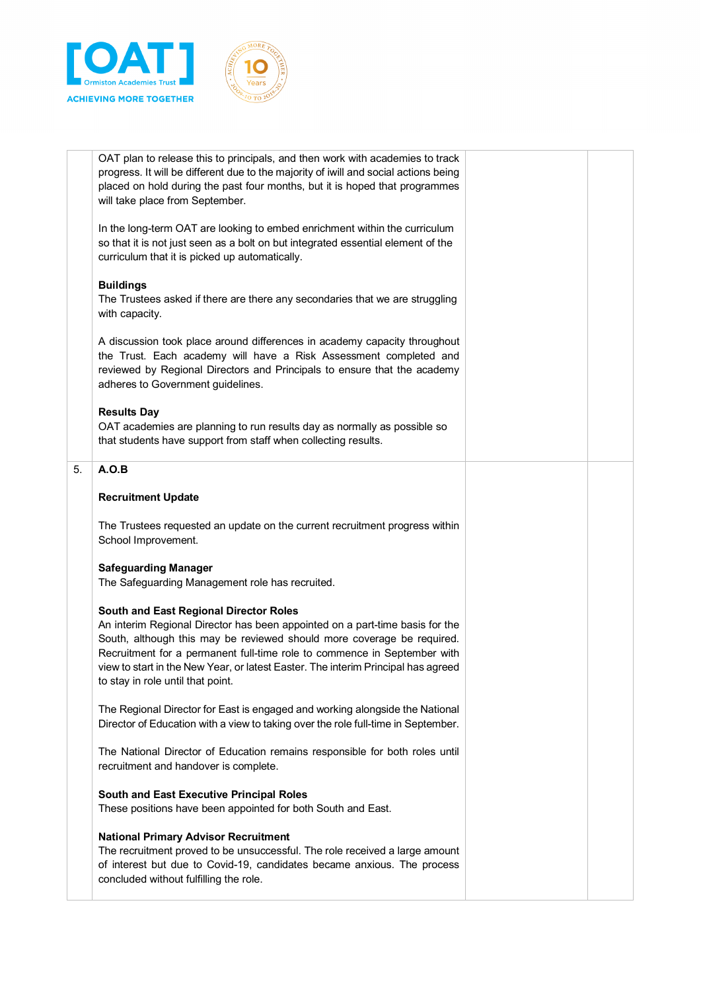